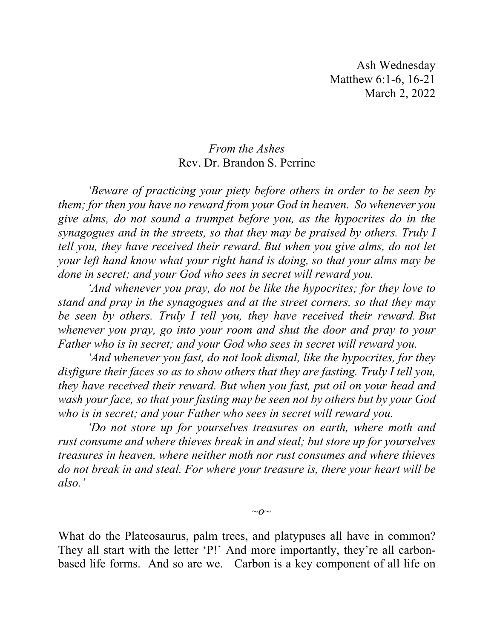Ash Wednesday Matthew 6:1-6, 16-21 March 2, 2022

## *From the Ashes* Rev. Dr. Brandon S. Perrine

*'Beware of practicing your piety before others in order to be seen by them; for then you have no reward from your God in heaven. So whenever you give alms, do not sound a trumpet before you, as the hypocrites do in the synagogues and in the streets, so that they may be praised by others. Truly I tell you, they have received their reward. But when you give alms, do not let your left hand know what your right hand is doing, so that your alms may be done in secret; and your God who sees in secret will reward you.* 

*'And whenever you pray, do not be like the hypocrites; for they love to stand and pray in the synagogues and at the street corners, so that they may be seen by others. Truly I tell you, they have received their reward. But whenever you pray, go into your room and shut the door and pray to your Father who is in secret; and your God who sees in secret will reward you.* 

*'And whenever you fast, do not look dismal, like the hypocrites, for they disfigure their faces so as to show others that they are fasting. Truly I tell you, they have received their reward. But when you fast, put oil on your head and wash your face, so that your fasting may be seen not by others but by your God who is in secret; and your Father who sees in secret will reward you.* 

*'Do not store up for yourselves treasures on earth, where moth and rust consume and where thieves break in and steal; but store up for yourselves treasures in heaven, where neither moth nor rust consumes and where thieves do not break in and steal. For where your treasure is, there your heart will be also.'*

*~o~*

What do the Plateosaurus, palm trees, and platypuses all have in common? They all start with the letter 'P!' And more importantly, they're all carbonbased life forms. And so are we. Carbon is a key component of all life on